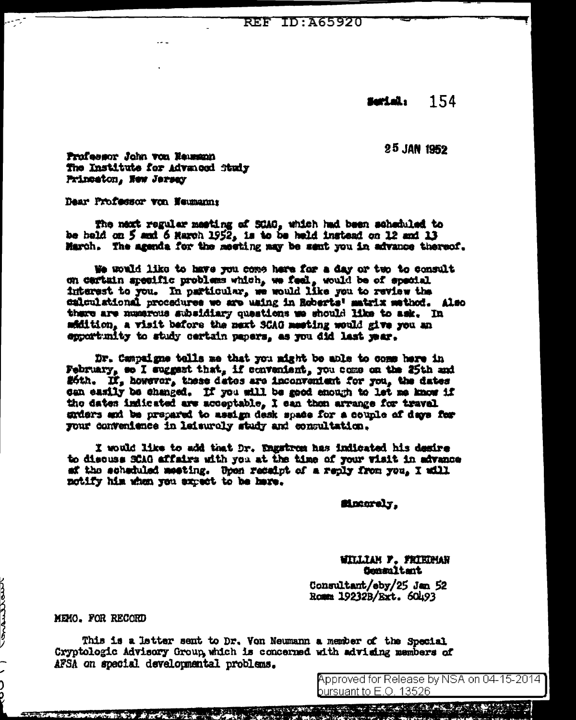**REF ID: A65920** 

154 Serial:

25 JAN 1952

Professor John von Eausson The Institute for Advanced Study Princeton, New Jersey

Dear Professor von Neumann:

The next regular meeting of SCAG, which had been scheduled to be held on 5 and 6 March 1952, is to be held instead on 12 and 13 Harch. The agenda for the meeting may be sent you in advance thereof.

We would like to have you come here for a day or two to consult on certain specific problems which, we feel, would be of special interest to you. In particular, we would like you to review the calculational procedures we are using in Roberts' matrix wethod. Also there are numerous subsidiary questions we should like to ask. In mfidition, a visit before the next SCAG meeting would give you an expert mity to study certain papers, as you did last year.

Dr. Cempaigne tolls me that you might be able to come here in February, so I suggest that, if convenient, you come on the 25th and #6th. If, however, these dates are inconvenient for you, the dates can easily be changed. If you will be good enough to let me know if the dates indicated are acceptable, I can then arrange for travel enders and be prepared to assign desk space for a couple of days for your convenience in leisurely study and consultation.

I would like to add that Dr. Engstrom has indicated his desire to discuss SCAG affairs with you at the time of your visit in advance af the scheduled meeting. Upon receipt of a reply from you, I will notify him when you expect to be have.

Macarely.

WILLIAM F. FRIEDMAN Consultant

Consultant/eby/25 Jan 52 Romm 19232B/Ext. 60493

MEMO. FOR RECORD

This is a letter sent to Dr. Yon Neumann a member of the Special Cryptologic Advisory Group, which is concerned with advising members of AFSA on special developmental problems.

> Approved for Release by NSA on 04-15-2014 ] bursuant to E.O. 13526.

くろうしつうきょう -<br>2<br>)

**医尿道病 医鼻突 医血管 Administration of the Contract**